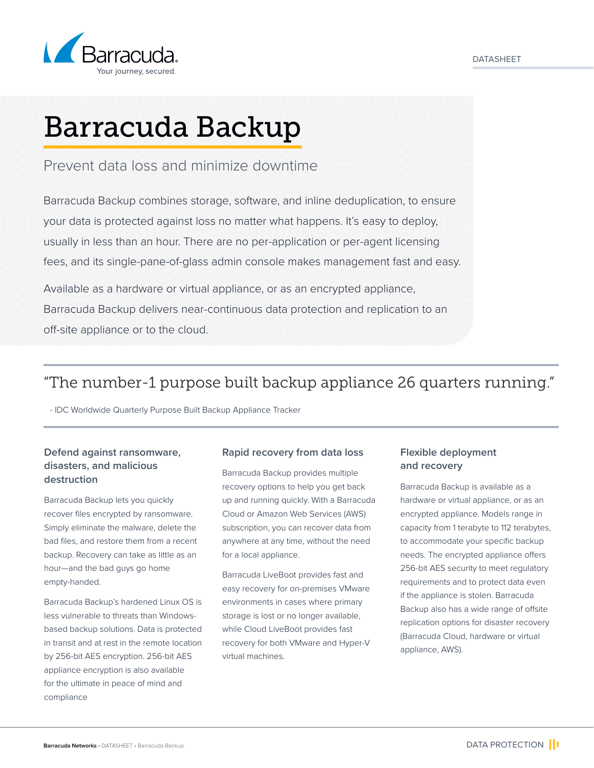

# Barracuda Backup

## Prevent data loss and minimize downtime

Barracuda Backup combines storage, software, and inline deduplication, to ensure your data is protected against loss no matter what happens. It's easy to deploy, usually in less than an hour. There are no per-application or per-agent licensing fees, and its single-pane-of-glass admin console makes management fast and easy.

Available as a hardware or virtual appliance, or as an encrypted appliance, Barracuda Backup delivers near-continuous data protection and replication to an off-site appliance or to the cloud.

# "The number-1 purpose built backup appliance 26 quarters running."

- IDC Worldwide Quarterly Purpose Built Backup Appliance Tracker

## **Defend against ransomware, disasters, and malicious destruction**

Barracuda Backup lets you quickly recover files encrypted by ransomware. Simply eliminate the malware, delete the bad files, and restore them from a recent backup. Recovery can take as little as an hour—and the bad guys go home empty-handed.

Barracuda Backup's hardened Linux OS is less vulnerable to threats than Windowsbased backup solutions. Data is protected in transit and at rest in the remote location by 256-bit AES encryption. 256-bit AES appliance encryption is also available for the ultimate in peace of mind and compliance

### **Rapid recovery from data loss**

Barracuda Backup provides multiple recovery options to help you get back up and running quickly. With a Barracuda Cloud or Amazon Web Services (AWS) subscription, you can recover data from anywhere at any time, without the need for a local appliance.

Barracuda LiveBoot provides fast and easy recovery for on-premises VMware environments in cases where primary storage is lost or no longer available, while Cloud LiveBoot provides fast recovery for both VMware and Hyper-V virtual machines.

## **Flexible deployment and recovery**

Barracuda Backup is available as a hardware or virtual appliance, or as an encrypted appliance. Models range in capacity from 1 terabyte to 112 terabytes, to accommodate your specific backup needs. The encrypted appliance offers 256-bit AES security to meet regulatory requirements and to protect data even if the appliance is stolen. Barracuda Backup also has a wide range of offsite replication options for disaster recovery (Barracuda Cloud, hardware or virtual appliance, AWS).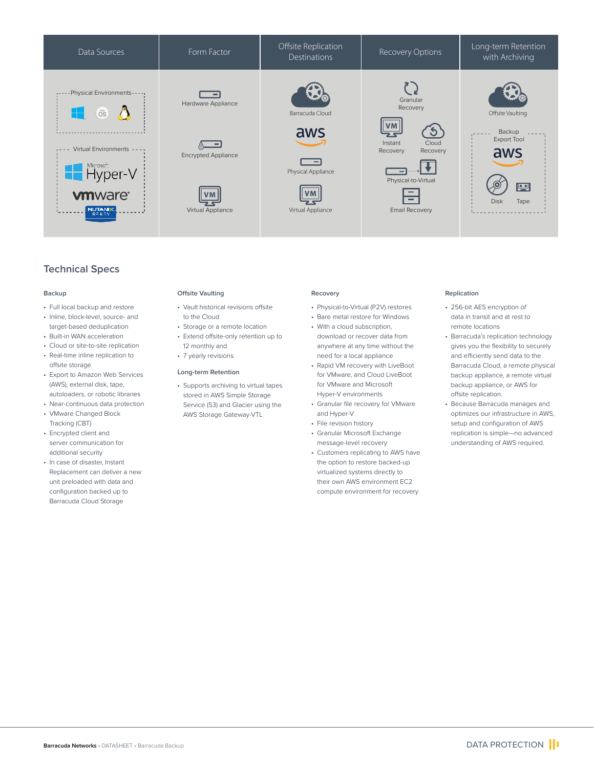

## **Technical Specs**

#### **Backup**

- Full local backup and restore
- Inline, block-level, source- and target-based deduplication
- Built-in WAN acceleration
- Cloud or site-to-site replication
- Real-time inline replication to offsite storage
- Export to Amazon Web Services (AWS), external disk, tape, autoloaders, or robotic libraries
- Near-continuous data protection
- VMware Changed Block Tracking (CBT) • Encrypted client and
- server communication for additional security
- In case of disaster, Instant Replacement can deliver a new unit preloaded with data and configuration backed up to Barracuda Cloud Storage

#### **Offsite Vaulting**

- Vault historical revisions offsite to the Cloud
- Storage or a remote location
- Extend offsite-only retention up to 12 monthly and
- 7 yearly revisions

#### **Long-term Retention**

• Supports archiving to virtual tapes stored in AWS Simple Storage Service (S3) and Glacier using the AWS Storage Gateway-VTL

#### **Recovery**

- Physical-to-Virtual (P2V) restores
- Bare metal restore for Windows • With a cloud subscription.
- download or recover data from anywhere at any time without the need for a local appliance
- Rapid VM recovery with LiveBoot for VMware, and Cloud LiveBoot for VMware and Microsoft Hyper-V environments
- Granular file recovery for VMware and Hyper-V
- File revision history
- Granular Microsoft Exchange message-level recovery
- Customers replicating to AWS have the option to restore backed-up virtualized systems directly to their own AWS environment EC2 compute environment for recovery

#### **Replication**

- 256-bit AES encryption of data in transit and at rest to remote locations
- Barracuda's replication technology gives you the flexibility to securely and efficiently send data to the Barracuda Cloud, a remote physical backup appliance, a remote virtual backup appliance, or AWS for offsite replication.
- Because Barracuda manages and optimizes our infrastructure in AWS, setup and configuration of AWS replication is simple—no advanced understanding of AWS required.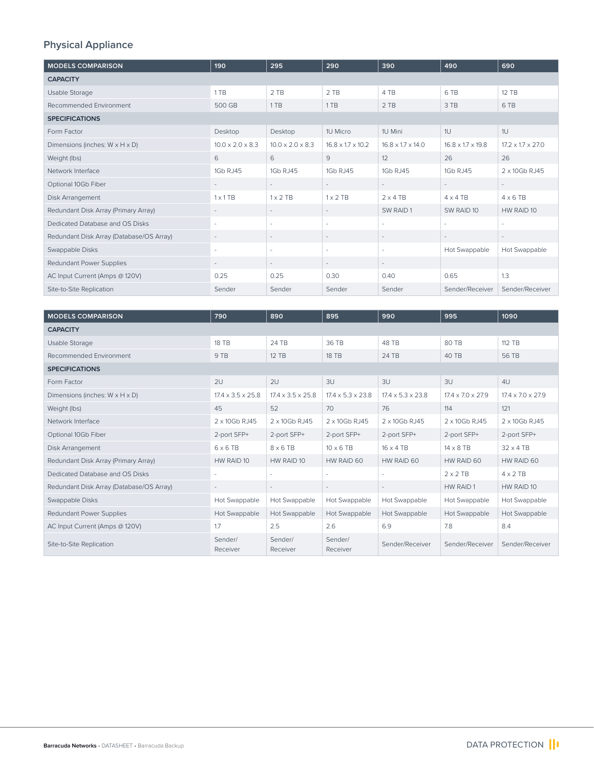# **Physical Appliance**

| <b>MODELS COMPARISON</b>                    | 190                          | 295                          | 290                          | 390                           | 490                           | 690                           |
|---------------------------------------------|------------------------------|------------------------------|------------------------------|-------------------------------|-------------------------------|-------------------------------|
| <b>CAPACITY</b>                             |                              |                              |                              |                               |                               |                               |
| Usable Storage                              | 1 TB                         | 2 TB                         | 2 TB                         | 4 TB                          | 6 TB                          | 12 TB                         |
| Recommended Environment                     | 500 GB                       | 1 TB                         | 1TB                          | 2 TB                          | 3 TB                          | 6 TB                          |
| <b>SPECIFICATIONS</b>                       |                              |                              |                              |                               |                               |                               |
| Form Factor                                 | Desktop                      | Desktop                      | 1U Micro                     | 1U Mini                       | 1U                            | 1U                            |
| Dimensions (inches: $W \times H \times D$ ) | $10.0 \times 2.0 \times 8.3$ | $10.0 \times 2.0 \times 8.3$ | $16.8 \times 17 \times 10.2$ | $16.8 \times 1.7 \times 14.0$ | $16.8 \times 1.7 \times 19.8$ | $17.2 \times 1.7 \times 27.0$ |
| Weight (lbs)                                | 6                            | 6                            | 9                            | 12                            | 26                            | 26                            |
| Network Interface                           | 1Gb RJ45                     | 1Gb RJ45                     | 1Gb RJ45                     | 1Gb RJ45                      | 1Gb RJ45                      | 2 x 10Gb RJ45                 |
| Optional 10Gb Fiber                         | ٠.                           | $\sim$                       | $\sim$                       | $\sim$                        | $\sim$                        | $\overline{\phantom{a}}$      |
| Disk Arrangement                            | $1 \times 1$ TB              | $1 \times 2$ TB              | $1 \times 2$ TB              | $2 \times 4$ TR               | $4 \times 4$ TR               | $4 \times 6$ TB               |
| Redundant Disk Array (Primary Array)        | $\overline{\phantom{a}}$     | $\sim$                       | $\sim$                       | SW RAID 1                     | SW RAID 10                    | HW RAID 10                    |
| Dedicated Database and OS Disks             | ٠                            | ٠                            | $\sim$                       | $\sim$                        | ٠                             | ÷.                            |
| Redundant Disk Array (Database/OS Array)    | $\overline{\phantom{a}}$     | $\sim$                       | $\sim$                       | $\sim$                        | $\sim$                        | $\sim$                        |
| Swappable Disks                             | ٠                            |                              | $\sim$                       | $\sim$                        | Hot Swappable                 | Hot Swappable                 |
| Redundant Power Supplies                    |                              |                              | ÷                            | $\sim$                        |                               |                               |
| AC Input Current (Amps @ 120V)              | 0.25                         | 0.25                         | 0.30                         | 0.40                          | 0.65                          | 1.3                           |
| Site-to-Site Replication                    | Sender                       | Sender                       | Sender                       | Sender                        | Sender/Receiver               | Sender/Receiver               |

| <b>MODELS COMPARISON</b>                    | 790                           | 890                           | 895                           | 990                           | 995                           | 1090                          |
|---------------------------------------------|-------------------------------|-------------------------------|-------------------------------|-------------------------------|-------------------------------|-------------------------------|
| <b>CAPACITY</b>                             |                               |                               |                               |                               |                               |                               |
| Usable Storage                              | <b>18 TB</b>                  | 24 TB                         | 36 TB                         | 48 TB                         | 80 TB                         | 112 TB                        |
| Recommended Environment                     | 9 TB                          | 12 TB                         | <b>18 TB</b>                  | 24 TB                         | 40 TB                         | 56 TB                         |
| <b>SPECIFICATIONS</b>                       |                               |                               |                               |                               |                               |                               |
| Form Factor                                 | 2U                            | 2U                            | 3U                            | 3U                            | 3U                            | 4U                            |
| Dimensions (inches: $W \times H \times D$ ) | $17.4 \times 3.5 \times 25.8$ | $17.4 \times 3.5 \times 25.8$ | $17.4 \times 5.3 \times 23.8$ | $17.4 \times 5.3 \times 23.8$ | $17.4 \times 7.0 \times 27.9$ | $17.4 \times 7.0 \times 27.9$ |
| Weight (lbs)                                | 45                            | 52                            | 70                            | 76                            | 114                           | 121                           |
| Network Interface                           | 2 x 10Gb RJ45                 | 2 x 10Gb RJ45                 | 2 x 10Gb RJ45                 | 2 x 10Gb RJ45                 | 2 x 10Gb RJ45                 | 2 x 10Gb RJ45                 |
| Optional 10Gb Fiber                         | 2-port SFP+                   | 2-port SFP+                   | 2-port SFP+                   | 2-port SFP+                   | 2-port SFP+                   | 2-port SFP+                   |
| Disk Arrangement                            | $6 \times 6$ TB               | $8 \times 6$ TB               | $10 \times 6$ TB              | $16 \times 4$ TB              | $14 \times 8$ TB              | $32 \times 4$ TB              |
| Redundant Disk Array (Primary Array)        | HW RAID 10                    | HW RAID 10                    | HW RAID 60                    | HW RAID 60                    | HW RAID 60                    | HW RAID 60                    |
| Dedicated Database and OS Disks             | ÷.                            |                               | ÷.                            | $\sim$                        | $2 \times 2$ TB               | $4 \times 2$ TB               |
| Redundant Disk Array (Database/OS Array)    | $ \,$                         | $\sim$                        | $\overline{\phantom{a}}$      | $\sim$                        | HW RAID 1                     | HW RAID 10                    |
| Swappable Disks                             | Hot Swappable                 | Hot Swappable                 | Hot Swappable                 | Hot Swappable                 | Hot Swappable                 | Hot Swappable                 |
| <b>Redundant Power Supplies</b>             | Hot Swappable                 | Hot Swappable                 | Hot Swappable                 | Hot Swappable                 | Hot Swappable                 | Hot Swappable                 |
| AC Input Current (Amps @ 120V)              | 1.7                           | 2.5                           | 2.6                           | 6.9                           | 7.8                           | 8.4                           |
| Site-to-Site Replication                    | Sender/<br>Receiver           | Sender/<br>Receiver           | Sender/<br>Receiver           | Sender/Receiver               | Sender/Receiver               | Sender/Receiver               |